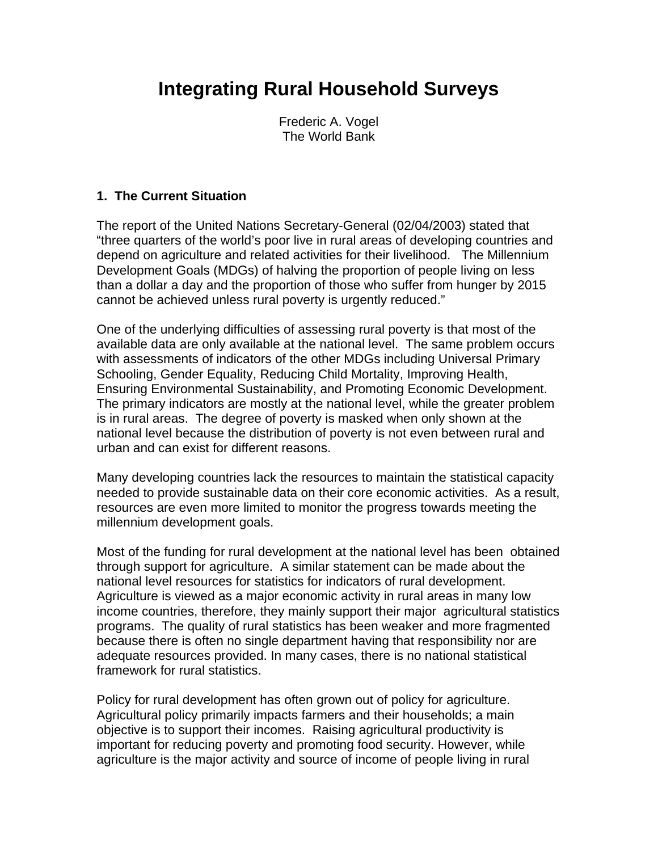# **Integrating Rural Household Surveys**

Frederic A. Vogel The World Bank

#### **1. The Current Situation**

The report of the United Nations Secretary-General (02/04/2003) stated that "three quarters of the world's poor live in rural areas of developing countries and depend on agriculture and related activities for their livelihood. The Millennium Development Goals (MDGs) of halving the proportion of people living on less than a dollar a day and the proportion of those who suffer from hunger by 2015 cannot be achieved unless rural poverty is urgently reduced."

One of the underlying difficulties of assessing rural poverty is that most of the available data are only available at the national level. The same problem occurs with assessments of indicators of the other MDGs including Universal Primary Schooling, Gender Equality, Reducing Child Mortality, Improving Health, Ensuring Environmental Sustainability, and Promoting Economic Development. The primary indicators are mostly at the national level, while the greater problem is in rural areas. The degree of poverty is masked when only shown at the national level because the distribution of poverty is not even between rural and urban and can exist for different reasons.

Many developing countries lack the resources to maintain the statistical capacity needed to provide sustainable data on their core economic activities. As a result, resources are even more limited to monitor the progress towards meeting the millennium development goals.

Most of the funding for rural development at the national level has been obtained through support for agriculture. A similar statement can be made about the national level resources for statistics for indicators of rural development. Agriculture is viewed as a major economic activity in rural areas in many low income countries, therefore, they mainly support their major agricultural statistics programs. The quality of rural statistics has been weaker and more fragmented because there is often no single department having that responsibility nor are adequate resources provided. In many cases, there is no national statistical framework for rural statistics.

Policy for rural development has often grown out of policy for agriculture. Agricultural policy primarily impacts farmers and their households; a main objective is to support their incomes. Raising agricultural productivity is important for reducing poverty and promoting food security. However, while agriculture is the major activity and source of income of people living in rural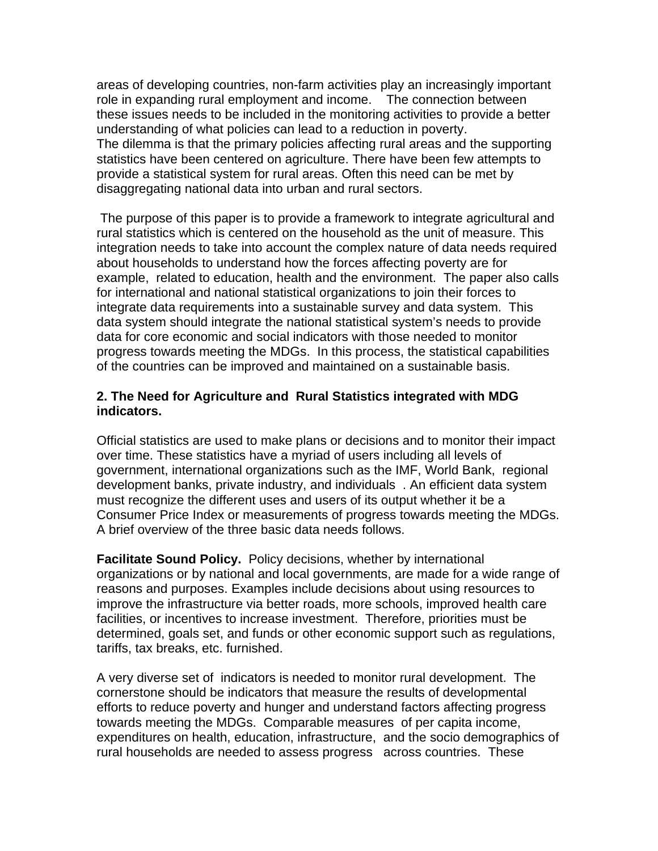areas of developing countries, non-farm activities play an increasingly important role in expanding rural employment and income. The connection between these issues needs to be included in the monitoring activities to provide a better understanding of what policies can lead to a reduction in poverty. The dilemma is that the primary policies affecting rural areas and the supporting statistics have been centered on agriculture. There have been few attempts to provide a statistical system for rural areas. Often this need can be met by disaggregating national data into urban and rural sectors.

 The purpose of this paper is to provide a framework to integrate agricultural and rural statistics which is centered on the household as the unit of measure. This integration needs to take into account the complex nature of data needs required about households to understand how the forces affecting poverty are for example, related to education, health and the environment. The paper also calls for international and national statistical organizations to join their forces to integrate data requirements into a sustainable survey and data system. This data system should integrate the national statistical system's needs to provide data for core economic and social indicators with those needed to monitor progress towards meeting the MDGs. In this process, the statistical capabilities of the countries can be improved and maintained on a sustainable basis.

#### **2. The Need for Agriculture and Rural Statistics integrated with MDG indicators.**

Official statistics are used to make plans or decisions and to monitor their impact over time. These statistics have a myriad of users including all levels of government, international organizations such as the IMF, World Bank, regional development banks, private industry, and individuals . An efficient data system must recognize the different uses and users of its output whether it be a Consumer Price Index or measurements of progress towards meeting the MDGs. A brief overview of the three basic data needs follows.

**Facilitate Sound Policy.** Policy decisions, whether by international organizations or by national and local governments, are made for a wide range of reasons and purposes. Examples include decisions about using resources to improve the infrastructure via better roads, more schools, improved health care facilities, or incentives to increase investment. Therefore, priorities must be determined, goals set, and funds or other economic support such as regulations, tariffs, tax breaks, etc. furnished.

A very diverse set of indicators is needed to monitor rural development. The cornerstone should be indicators that measure the results of developmental efforts to reduce poverty and hunger and understand factors affecting progress towards meeting the MDGs. Comparable measures of per capita income, expenditures on health, education, infrastructure, and the socio demographics of rural households are needed to assess progress across countries. These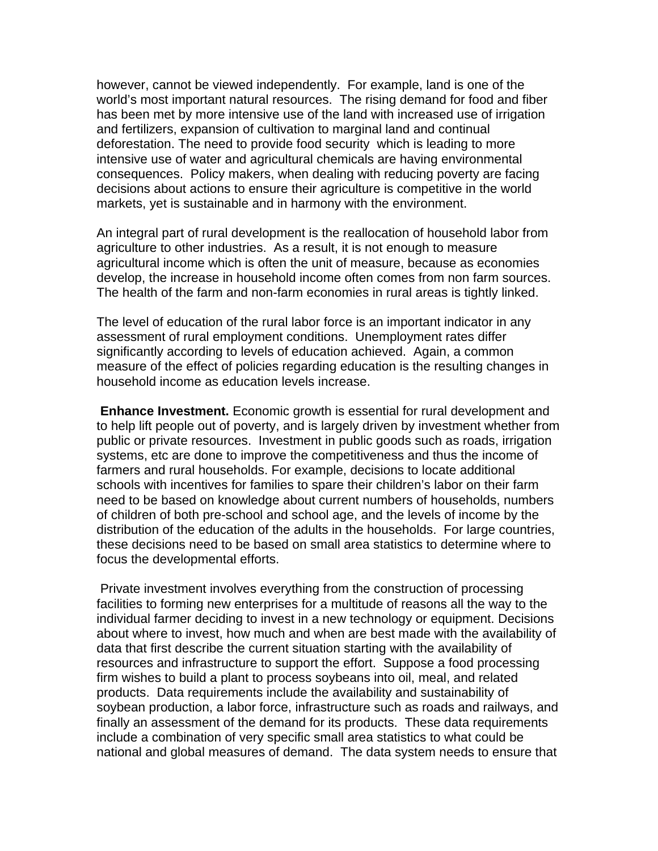however, cannot be viewed independently. For example, land is one of the world's most important natural resources. The rising demand for food and fiber has been met by more intensive use of the land with increased use of irrigation and fertilizers, expansion of cultivation to marginal land and continual deforestation. The need to provide food security which is leading to more intensive use of water and agricultural chemicals are having environmental consequences. Policy makers, when dealing with reducing poverty are facing decisions about actions to ensure their agriculture is competitive in the world markets, yet is sustainable and in harmony with the environment.

An integral part of rural development is the reallocation of household labor from agriculture to other industries. As a result, it is not enough to measure agricultural income which is often the unit of measure, because as economies develop, the increase in household income often comes from non farm sources. The health of the farm and non-farm economies in rural areas is tightly linked.

The level of education of the rural labor force is an important indicator in any assessment of rural employment conditions. Unemployment rates differ significantly according to levels of education achieved. Again, a common measure of the effect of policies regarding education is the resulting changes in household income as education levels increase.

**Enhance Investment.** Economic growth is essential for rural development and to help lift people out of poverty, and is largely driven by investment whether from public or private resources. Investment in public goods such as roads, irrigation systems, etc are done to improve the competitiveness and thus the income of farmers and rural households. For example, decisions to locate additional schools with incentives for families to spare their children's labor on their farm need to be based on knowledge about current numbers of households, numbers of children of both pre-school and school age, and the levels of income by the distribution of the education of the adults in the households. For large countries, these decisions need to be based on small area statistics to determine where to focus the developmental efforts.

 Private investment involves everything from the construction of processing facilities to forming new enterprises for a multitude of reasons all the way to the individual farmer deciding to invest in a new technology or equipment. Decisions about where to invest, how much and when are best made with the availability of data that first describe the current situation starting with the availability of resources and infrastructure to support the effort. Suppose a food processing firm wishes to build a plant to process soybeans into oil, meal, and related products. Data requirements include the availability and sustainability of soybean production, a labor force, infrastructure such as roads and railways, and finally an assessment of the demand for its products. These data requirements include a combination of very specific small area statistics to what could be national and global measures of demand. The data system needs to ensure that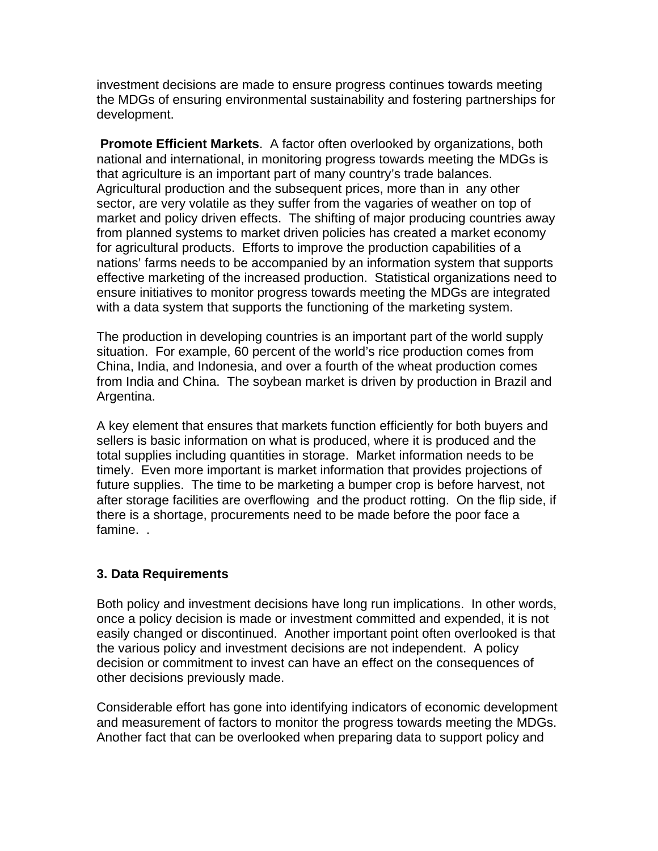investment decisions are made to ensure progress continues towards meeting the MDGs of ensuring environmental sustainability and fostering partnerships for development.

 **Promote Efficient Markets**. A factor often overlooked by organizations, both national and international, in monitoring progress towards meeting the MDGs is that agriculture is an important part of many country's trade balances. Agricultural production and the subsequent prices, more than in any other sector, are very volatile as they suffer from the vagaries of weather on top of market and policy driven effects. The shifting of major producing countries away from planned systems to market driven policies has created a market economy for agricultural products. Efforts to improve the production capabilities of a nations' farms needs to be accompanied by an information system that supports effective marketing of the increased production. Statistical organizations need to ensure initiatives to monitor progress towards meeting the MDGs are integrated with a data system that supports the functioning of the marketing system.

The production in developing countries is an important part of the world supply situation. For example, 60 percent of the world's rice production comes from China, India, and Indonesia, and over a fourth of the wheat production comes from India and China. The soybean market is driven by production in Brazil and Argentina.

A key element that ensures that markets function efficiently for both buyers and sellers is basic information on what is produced, where it is produced and the total supplies including quantities in storage. Market information needs to be timely. Even more important is market information that provides projections of future supplies. The time to be marketing a bumper crop is before harvest, not after storage facilities are overflowing and the product rotting. On the flip side, if there is a shortage, procurements need to be made before the poor face a famine. .

## **3. Data Requirements**

Both policy and investment decisions have long run implications. In other words, once a policy decision is made or investment committed and expended, it is not easily changed or discontinued. Another important point often overlooked is that the various policy and investment decisions are not independent. A policy decision or commitment to invest can have an effect on the consequences of other decisions previously made.

Considerable effort has gone into identifying indicators of economic development and measurement of factors to monitor the progress towards meeting the MDGs. Another fact that can be overlooked when preparing data to support policy and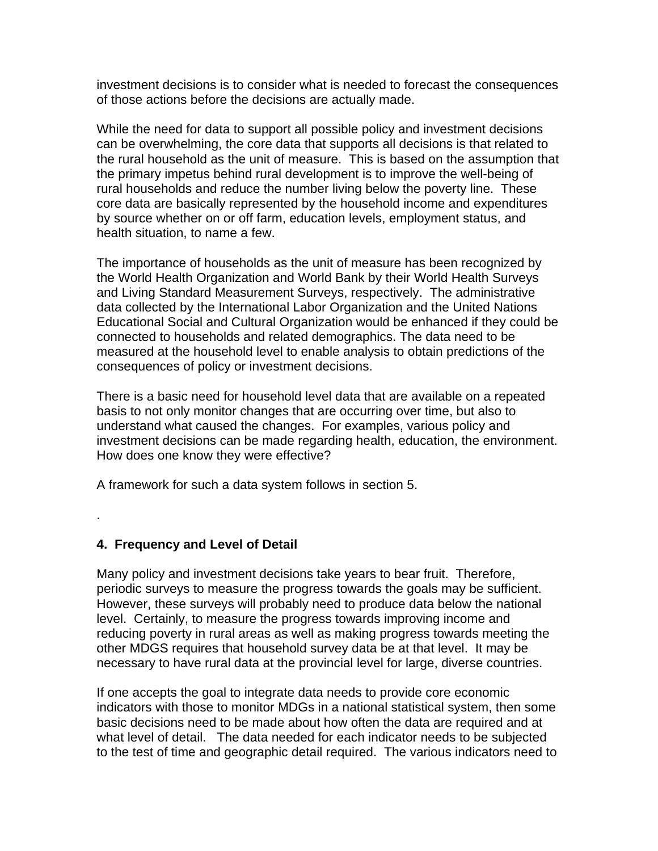investment decisions is to consider what is needed to forecast the consequences of those actions before the decisions are actually made.

While the need for data to support all possible policy and investment decisions can be overwhelming, the core data that supports all decisions is that related to the rural household as the unit of measure. This is based on the assumption that the primary impetus behind rural development is to improve the well-being of rural households and reduce the number living below the poverty line. These core data are basically represented by the household income and expenditures by source whether on or off farm, education levels, employment status, and health situation, to name a few.

The importance of households as the unit of measure has been recognized by the World Health Organization and World Bank by their World Health Surveys and Living Standard Measurement Surveys, respectively. The administrative data collected by the International Labor Organization and the United Nations Educational Social and Cultural Organization would be enhanced if they could be connected to households and related demographics. The data need to be measured at the household level to enable analysis to obtain predictions of the consequences of policy or investment decisions.

There is a basic need for household level data that are available on a repeated basis to not only monitor changes that are occurring over time, but also to understand what caused the changes. For examples, various policy and investment decisions can be made regarding health, education, the environment. How does one know they were effective?

A framework for such a data system follows in section 5.

## **4. Frequency and Level of Detail**

.

Many policy and investment decisions take years to bear fruit. Therefore, periodic surveys to measure the progress towards the goals may be sufficient. However, these surveys will probably need to produce data below the national level. Certainly, to measure the progress towards improving income and reducing poverty in rural areas as well as making progress towards meeting the other MDGS requires that household survey data be at that level. It may be necessary to have rural data at the provincial level for large, diverse countries.

If one accepts the goal to integrate data needs to provide core economic indicators with those to monitor MDGs in a national statistical system, then some basic decisions need to be made about how often the data are required and at what level of detail. The data needed for each indicator needs to be subjected to the test of time and geographic detail required. The various indicators need to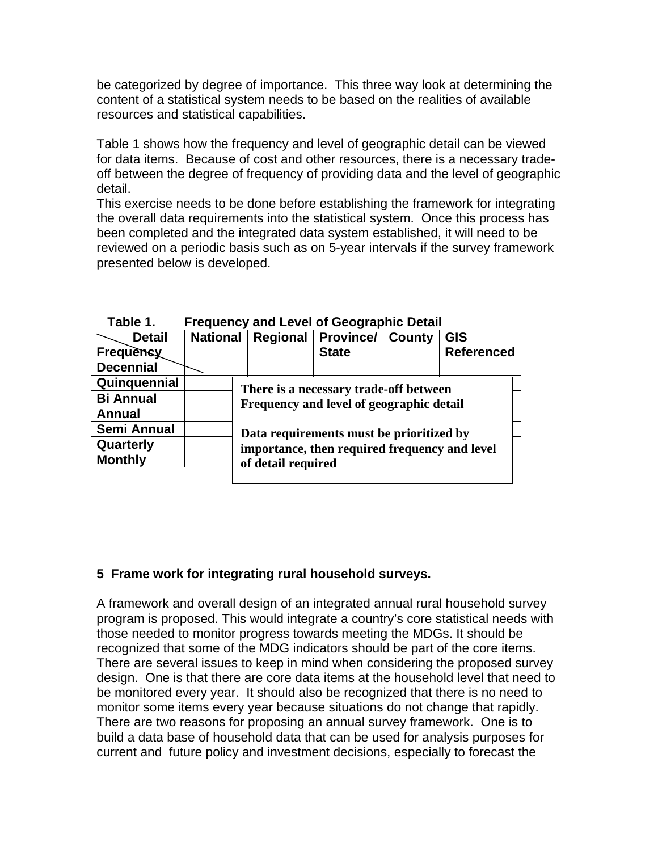be categorized by degree of importance. This three way look at determining the content of a statistical system needs to be based on the realities of available resources and statistical capabilities.

Table 1 shows how the frequency and level of geographic detail can be viewed for data items. Because of cost and other resources, there is a necessary tradeoff between the degree of frequency of providing data and the level of geographic detail.

This exercise needs to be done before establishing the framework for integrating the overall data requirements into the statistical system. Once this process has been completed and the integrated data system established, it will need to be reviewed on a periodic basis such as on 5-year intervals if the survey framework presented below is developed.

| <b>Detail</b>    | <b>National</b>                                                                    | <b>Regional</b>                                                                           | <b>Province/</b> | County | <b>GIS</b>        |  |  |  |  |  |
|------------------|------------------------------------------------------------------------------------|-------------------------------------------------------------------------------------------|------------------|--------|-------------------|--|--|--|--|--|
| <b>Frequency</b> |                                                                                    |                                                                                           | <b>State</b>     |        | <b>Referenced</b> |  |  |  |  |  |
| <b>Decennial</b> |                                                                                    |                                                                                           |                  |        |                   |  |  |  |  |  |
| Quinquennial     |                                                                                    |                                                                                           |                  |        |                   |  |  |  |  |  |
| <b>Bi Annual</b> | There is a necessary trade-off between<br>Frequency and level of geographic detail |                                                                                           |                  |        |                   |  |  |  |  |  |
| <b>Annual</b>    |                                                                                    |                                                                                           |                  |        |                   |  |  |  |  |  |
| Semi Annual      |                                                                                    | Data requirements must be prioritized by<br>importance, then required frequency and level |                  |        |                   |  |  |  |  |  |
| Quarterly        |                                                                                    |                                                                                           |                  |        |                   |  |  |  |  |  |
| <b>Monthly</b>   |                                                                                    | of detail required                                                                        |                  |        |                   |  |  |  |  |  |
|                  |                                                                                    |                                                                                           |                  |        |                   |  |  |  |  |  |

 **Table 1. Frequency and Level of Geographic Detail** 

## **5 Frame work for integrating rural household surveys.**

A framework and overall design of an integrated annual rural household survey program is proposed. This would integrate a country's core statistical needs with those needed to monitor progress towards meeting the MDGs. It should be recognized that some of the MDG indicators should be part of the core items. There are several issues to keep in mind when considering the proposed survey design. One is that there are core data items at the household level that need to be monitored every year. It should also be recognized that there is no need to monitor some items every year because situations do not change that rapidly. There are two reasons for proposing an annual survey framework. One is to build a data base of household data that can be used for analysis purposes for current and future policy and investment decisions, especially to forecast the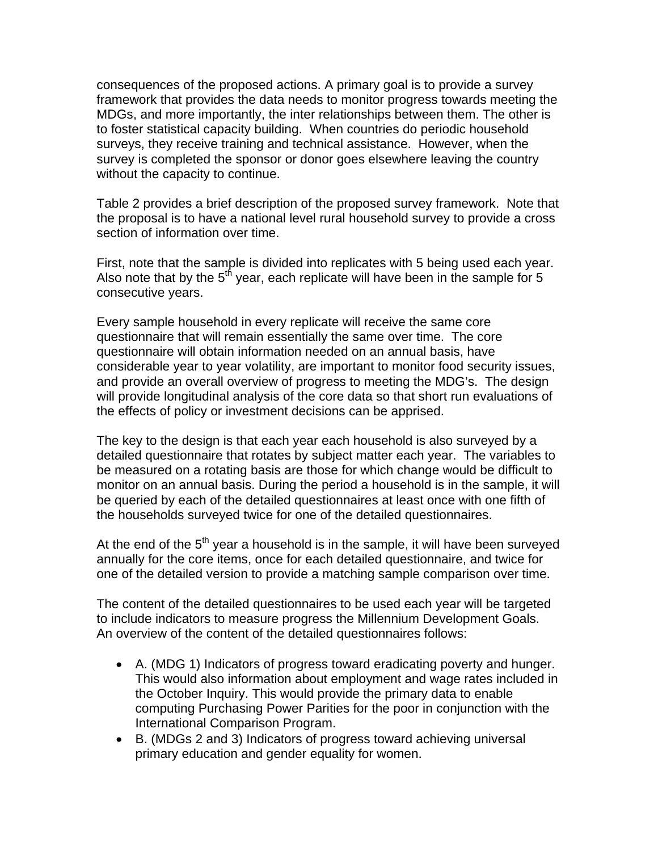consequences of the proposed actions. A primary goal is to provide a survey framework that provides the data needs to monitor progress towards meeting the MDGs, and more importantly, the inter relationships between them. The other is to foster statistical capacity building. When countries do periodic household surveys, they receive training and technical assistance. However, when the survey is completed the sponsor or donor goes elsewhere leaving the country without the capacity to continue.

Table 2 provides a brief description of the proposed survey framework. Note that the proposal is to have a national level rural household survey to provide a cross section of information over time.

First, note that the sample is divided into replicates with 5 being used each year. Also note that by the  $5<sup>th</sup>$  year, each replicate will have been in the sample for 5 consecutive years.

Every sample household in every replicate will receive the same core questionnaire that will remain essentially the same over time. The core questionnaire will obtain information needed on an annual basis, have considerable year to year volatility, are important to monitor food security issues, and provide an overall overview of progress to meeting the MDG's. The design will provide longitudinal analysis of the core data so that short run evaluations of the effects of policy or investment decisions can be apprised.

The key to the design is that each year each household is also surveyed by a detailed questionnaire that rotates by subject matter each year. The variables to be measured on a rotating basis are those for which change would be difficult to monitor on an annual basis. During the period a household is in the sample, it will be queried by each of the detailed questionnaires at least once with one fifth of the households surveyed twice for one of the detailed questionnaires.

At the end of the  $5<sup>th</sup>$  year a household is in the sample, it will have been surveyed annually for the core items, once for each detailed questionnaire, and twice for one of the detailed version to provide a matching sample comparison over time.

The content of the detailed questionnaires to be used each year will be targeted to include indicators to measure progress the Millennium Development Goals. An overview of the content of the detailed questionnaires follows:

- A. (MDG 1) Indicators of progress toward eradicating poverty and hunger. This would also information about employment and wage rates included in the October Inquiry. This would provide the primary data to enable computing Purchasing Power Parities for the poor in conjunction with the International Comparison Program.
- B. (MDGs 2 and 3) Indicators of progress toward achieving universal primary education and gender equality for women.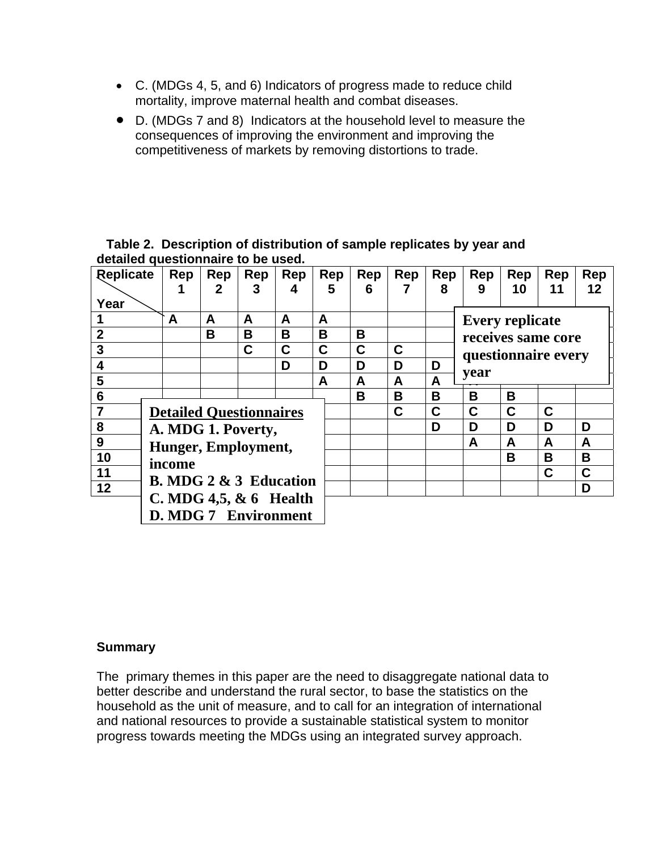- C. (MDGs 4, 5, and 6) Indicators of progress made to reduce child mortality, improve maternal health and combat diseases.
- D. (MDGs 7 and 8) Indicators at the household level to measure the consequences of improving the environment and improving the competitiveness of markets by removing distortions to trade.

|                                    |  | Table 2. Description of distribution of sample replicates by year and |
|------------------------------------|--|-----------------------------------------------------------------------|
| detailed questionnaire to be used. |  |                                                                       |

| <b>Replicate</b> |                                   | Rep | Rep | Rep | Rep | Rep | Rep | Rep | Rep | Rep<br>Rep<br>Rep                         |    |    | Rep |
|------------------|-----------------------------------|-----|-----|-----|-----|-----|-----|-----|-----|-------------------------------------------|----|----|-----|
| Year             |                                   |     | 2   | 3   |     | 5   | 6   |     | 8   | 9                                         | 10 | 11 | 12  |
|                  |                                   |     |     |     |     |     |     |     |     |                                           |    |    |     |
|                  |                                   | A   | A   | A   | A   | A   |     |     |     | <b>Every replicate</b>                    |    |    |     |
| $\mathbf{2}$     |                                   |     | B   | B   | B   | B   | B   |     |     | receives same core<br>questionnaire every |    |    |     |
| 3                |                                   |     |     | C   | C   | C   | C   | C   |     |                                           |    |    |     |
| 4                |                                   |     |     |     | D   | D   | D   | D   | D   | year                                      |    |    |     |
| 5                |                                   |     |     |     |     | A   | A   | A   | A   |                                           |    |    |     |
| 6                |                                   |     |     |     |     |     | B   | в   | B   | B                                         | B  |    |     |
| 7                | <b>Detailed Questionnaires</b>    |     |     |     |     |     |     | C   | C   | C                                         | C  | C  |     |
| 8                | A. MDG 1. Poverty,                |     |     |     |     |     |     |     | D   | D                                         | D  | D  | D   |
| 9                | Hunger, Employment,               |     |     |     |     |     |     |     |     | A                                         | A  | A  | A   |
| 10               | income                            |     |     |     |     |     |     |     |     |                                           | B  | B  | B   |
| 11               |                                   |     |     |     |     |     |     |     |     |                                           |    | C  | C   |
| 12               | <b>B. MDG 2 &amp; 3 Education</b> |     |     |     |     |     |     |     |     |                                           |    |    | D   |
|                  | C. MDG 4,5, $& 6$ Health          |     |     |     |     |     |     |     |     |                                           |    |    |     |
|                  | <b>D. MDG 7 Environment</b>       |     |     |     |     |     |     |     |     |                                           |    |    |     |

#### **Summary**

The primary themes in this paper are the need to disaggregate national data to better describe and understand the rural sector, to base the statistics on the household as the unit of measure, and to call for an integration of international and national resources to provide a sustainable statistical system to monitor progress towards meeting the MDGs using an integrated survey approach.